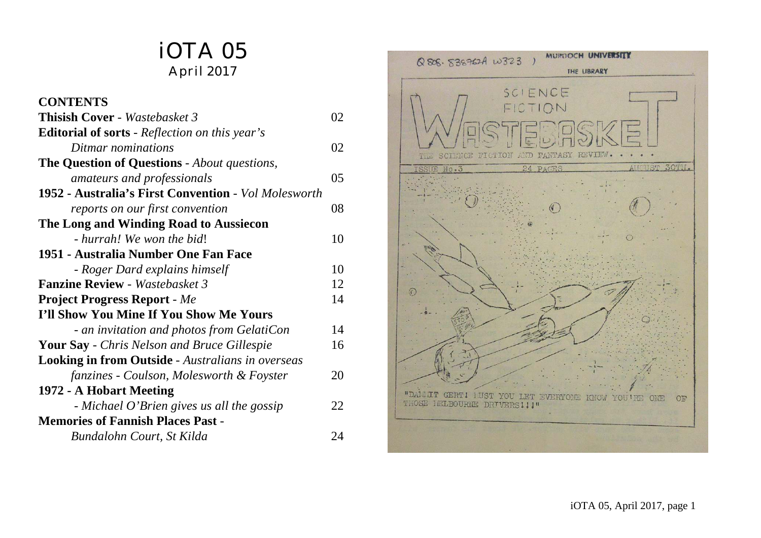# iOTA 05 April 2017

| <b>CONTENTS</b>                                             |                |
|-------------------------------------------------------------|----------------|
| <b>Thisish Cover</b> - Wastebasket 3                        | 02             |
| <b>Editorial of sorts</b> - Reflection on this year's       |                |
| Ditmar nominations                                          | 02             |
| <b>The Question of Questions</b> - About questions,         |                |
| amateurs and professionals                                  | 0 <sub>5</sub> |
| <b>1952 - Australia's First Convention - Vol Molesworth</b> |                |
| reports on our first convention                             | 08             |
| The Long and Winding Road to Aussiecon                      |                |
| - hurrah! We won the bid!                                   | 10             |
| 1951 - Australia Number One Fan Face                        |                |
| - Roger Dard explains himself                               | 10             |
| <b>Fanzine Review</b> - Wastebasket 3                       | 12             |
| <b>Project Progress Report</b> - Me                         | 14             |
| I'll Show You Mine If You Show Me Yours                     |                |
| - an invitation and photos from GelatiCon                   | 14             |
| <b>Your Say</b> - Chris Nelson and Bruce Gillespie          | 16             |
| <b>Looking in from Outside</b> - Australians in overseas    |                |
| fanzines - Coulson, Molesworth & Foyster                    | 20             |
| 1972 - A Hobart Meeting                                     |                |
| - Michael O'Brien gives us all the gossip                   | 22             |
| <b>Memories of Fannish Places Past -</b>                    |                |
| Bundalohn Court, St Kilda                                   | 24             |

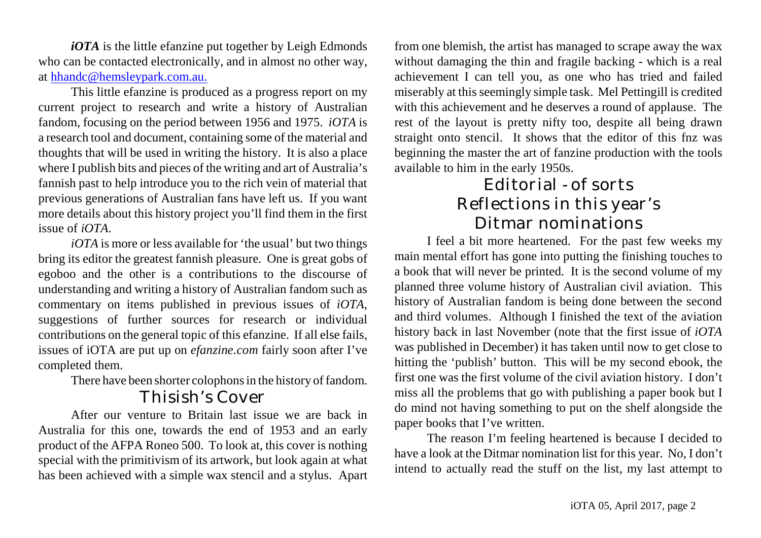*iOTA* is the little efanzine put together by Leigh Edmonds who can be contacted electronically, and in almost no other way, at [hhandc@hemsleypark.com.au.](mailto:hhandc@hemsleypark.com.au.)

This little efanzine is produced as a progress report on my current project to research and write a history of Australian fandom, focusing on the period between 1956 and 1975. *iOTA* is a research tool and document, containing some of the material and thoughts that will be used in writing the history. It is also a place where I publish bits and pieces of the writing and art of Australia's fannish past to help introduce you to the rich vein of material that previous generations of Australian fans have left us. If you want more details about this history project you'll find them in the first issue of *iOTA*.

*iOTA* is more or less available for 'the usual' but two things bring its editor the greatest fannish pleasure. One is great gobs of egoboo and the other is a contributions to the discourse of understanding and writing a history of Australian fandom such as commentary on items published in previous issues of *iOTA*, suggestions of further sources for research or individual contributions on the general topic of this efanzine. If all else fails, issues of iOTA are put up on *efanzine.com* fairly soon after I've completed them.

There have been shorter colophons in the history of fandom.

#### Thisish's Cover

After our venture to Britain last issue we are back in Australia for this one, towards the end of 1953 and an early product of the AFPA Roneo 500. To look at, this cover is nothing special with the primitivism of its artwork, but look again at what has been achieved with a simple wax stencil and a stylus. Apart

from one blemish, the artist has managed to scrape away the wax without damaging the thin and fragile backing - which is a real achievement I can tell you, as one who has tried and failed miserably at this seemingly simple task. Mel Pettingill is credited with this achievement and he deserves a round of applause. The rest of the layout is pretty nifty too, despite all being drawn straight onto stencil. It shows that the editor of this fnz was beginning the master the art of fanzine production with the tools available to him in the early 1950s.

# Editorial - of sorts Reflections in this year's Ditmar nominations

I feel a bit more heartened. For the past few weeks my main mental effort has gone into putting the finishing touches to a book that will never be printed. It is the second volume of my planned three volume history of Australian civil aviation. This history of Australian fandom is being done between the second and third volumes. Although I finished the text of the aviation history back in last November (note that the first issue of *iOTA* was published in December) it has taken until now to get close to hitting the 'publish' button. This will be my second ebook, the first one was the first volume of the civil aviation history. I don't miss all the problems that go with publishing a paper book but I do mind not having something to put on the shelf alongside the paper books that I've written.

The reason I'm feeling heartened is because I decided to have a look at the Ditmar nomination list for this year. No, I don't intend to actually read the stuff on the list, my last attempt to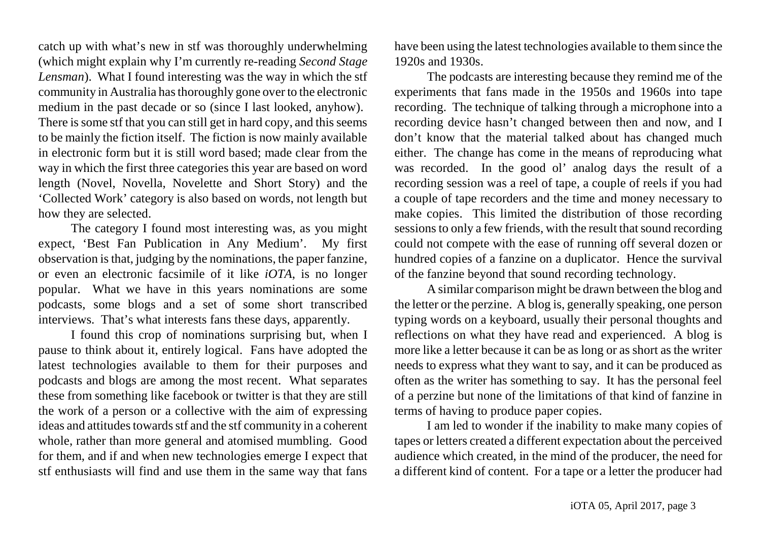catch up with what's new in stf was thoroughly underwhelming (which might explain why I'm currently re-reading *Second Stage Lensman*). What I found interesting was the way in which the stf community in Australia has thoroughly gone over to the electronic medium in the past decade or so (since I last looked, anyhow). There is some stf that you can still get in hard copy, and this seems to be mainly the fiction itself. The fiction is now mainly available in electronic form but it is still word based; made clear from the way in which the first three categories this year are based on word length (Novel, Novella, Novelette and Short Story) and the 'Collected Work' category is also based on words, not length but how they are selected.

The category I found most interesting was, as you might expect, 'Best Fan Publication in Any Medium'. My first observation isthat, judging by the nominations, the paper fanzine, or even an electronic facsimile of it like *iOTA*, is no longer popular. What we have in this years nominations are some podcasts, some blogs and a set of some short transcribed interviews. That's what interests fans these days, apparently.

I found this crop of nominations surprising but, when I pause to think about it, entirely logical. Fans have adopted the latest technologies available to them for their purposes and podcasts and blogs are among the most recent. What separates these from something like facebook or twitter is that they are still the work of a person or a collective with the aim of expressing ideas and attitudes towards stf and the stf community in a coherent whole, rather than more general and atomised mumbling. Good for them, and if and when new technologies emerge I expect that stf enthusiasts will find and use them in the same way that fans

have been using the latest technologies available to them since the 1920s and 1930s.

The podcasts are interesting because they remind me of the experiments that fans made in the 1950s and 1960s into tape recording. The technique of talking through a microphone into a recording device hasn't changed between then and now, and I don't know that the material talked about has changed much either. The change has come in the means of reproducing what was recorded. In the good ol' analog days the result of a recording session was a reel of tape, a couple of reels if you had a couple of tape recorders and the time and money necessary to make copies. This limited the distribution of those recording sessions to only a few friends, with the result that sound recording could not compete with the ease of running off several dozen or hundred copies of a fanzine on a duplicator. Hence the survival of the fanzine beyond that sound recording technology.

A similar comparison might be drawn between the blog and the letter or the perzine. A blog is, generally speaking, one person typing words on a keyboard, usually their personal thoughts and reflections on what they have read and experienced. A blog is more like a letter because it can be as long or as short as the writer needs to express what they want to say, and it can be produced as often as the writer has something to say. It has the personal feel of a perzine but none of the limitations of that kind of fanzine in terms of having to produce paper copies.

I am led to wonder if the inability to make many copies of tapes or letters created a different expectation about the perceived audience which created, in the mind of the producer, the need for a different kind of content. For a tape or a letter the producer had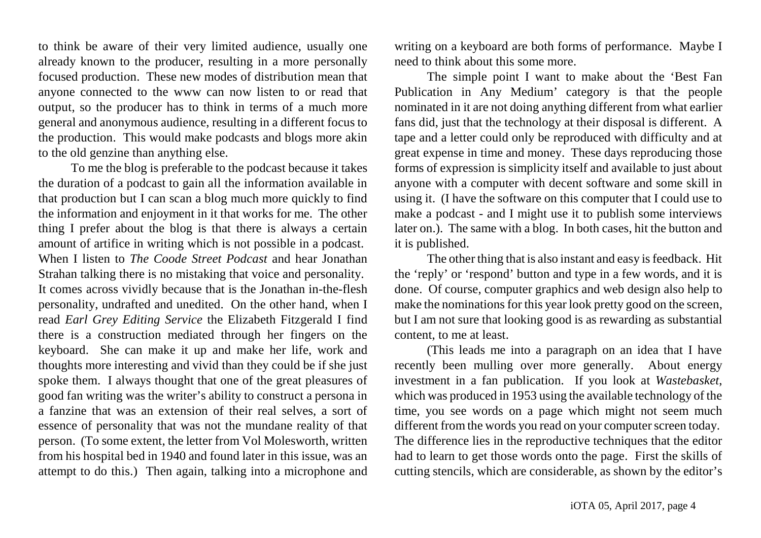to think be aware of their very limited audience, usually one already known to the producer, resulting in a more personally focused production. These new modes of distribution mean that anyone connected to the www can now listen to or read that output, so the producer has to think in terms of a much more general and anonymous audience, resulting in a different focus to the production. This would make podcasts and blogs more akin to the old genzine than anything else.

To me the blog is preferable to the podcast because it takes the duration of a podcast to gain all the information available in that production but I can scan a blog much more quickly to find the information and enjoyment in it that works for me. The other thing I prefer about the blog is that there is always a certain amount of artifice in writing which is not possible in a podcast. When I listen to *The Coode Street Podcast* and hear Jonathan Strahan talking there is no mistaking that voice and personality. It comes across vividly because that is the Jonathan in-the-flesh personality, undrafted and unedited. On the other hand, when I read *Earl Grey Editing Service* the Elizabeth Fitzgerald I find there is a construction mediated through her fingers on the keyboard. She can make it up and make her life, work and thoughts more interesting and vivid than they could be if she just spoke them. I always thought that one of the great pleasures of good fan writing was the writer's ability to construct a persona in a fanzine that was an extension of their real selves, a sort of essence of personality that was not the mundane reality of that person. (To some extent, the letter from Vol Molesworth, written from his hospital bed in 1940 and found later in this issue, was an attempt to do this.) Then again, talking into a microphone and

writing on a keyboard are both forms of performance. Maybe I need to think about this some more.

The simple point I want to make about the 'Best Fan Publication in Any Medium' category is that the people nominated in it are not doing anything different from what earlier fans did, just that the technology at their disposal is different. A tape and a letter could only be reproduced with difficulty and at great expense in time and money. These days reproducing those forms of expression is simplicity itself and available to just about anyone with a computer with decent software and some skill in using it. (I have the software on this computer that I could use to make a podcast - and I might use it to publish some interviews later on.). The same with a blog. In both cases, hit the button and it is published.

The other thing that is also instant and easy is feedback. Hit the 'reply' or 'respond' button and type in a few words, and it is done. Of course, computer graphics and web design also help to make the nominations for this year look pretty good on the screen, but I am not sure that looking good is as rewarding as substantial content, to me at least.

(This leads me into a paragraph on an idea that I have recently been mulling over more generally. About energy investment in a fan publication. If you look at *Wastebasket*, which was produced in 1953 using the available technology of the time, you see words on a page which might not seem much different from the words you read on your computer screen today. The difference lies in the reproductive techniques that the editor had to learn to get those words onto the page. First the skills of cutting stencils, which are considerable, as shown by the editor's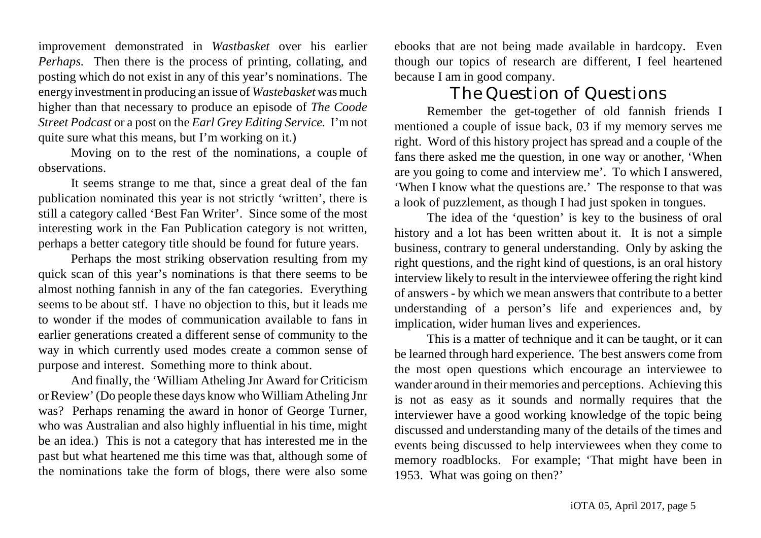improvement demonstrated in *Wastbasket* over his earlier *Perhaps.* Then there is the process of printing, collating, and posting which do not exist in any of this year's nominations. The energy investment in producing an issue of *Wastebasket* wasmuch higher than that necessary to produce an episode of *The Coode Street Podcast* or a post on the *Earl Grey Editing Service.* I'm not quite sure what this means, but I'm working on it.)

Moving on to the rest of the nominations, a couple of observations.

It seems strange to me that, since a great deal of the fan publication nominated this year is not strictly 'written', there is still a category called 'Best Fan Writer'. Since some of the most interesting work in the Fan Publication category is not written, perhaps a better category title should be found for future years.

Perhaps the most striking observation resulting from my quick scan of this year's nominations is that there seems to be almost nothing fannish in any of the fan categories. Everything seems to be about stf. I have no objection to this, but it leads me to wonder if the modes of communication available to fans in earlier generations created a different sense of community to the way in which currently used modes create a common sense of purpose and interest. Something more to think about.

And finally, the 'William Atheling Jnr Award for Criticism orReview'(Do people these days know who WilliamAtheling Jnr was? Perhaps renaming the award in honor of George Turner, who was Australian and also highly influential in his time, might be an idea.) This is not a category that has interested me in the past but what heartened me this time was that, although some of the nominations take the form of blogs, there were also some

ebooks that are not being made available in hardcopy. Even though our topics of research are different, I feel heartened because I am in good company.

## The Question of Questions

Remember the get-together of old fannish friends I mentioned a couple of issue back, 03 if my memory serves me right. Word of this history project has spread and a couple of the fans there asked me the question, in one way or another, 'When are you going to come and interview me'. To which I answered, 'When I know what the questions are.' The response to that was a look of puzzlement, as though I had just spoken in tongues.

The idea of the 'question' is key to the business of oral history and a lot has been written about it. It is not a simple business, contrary to general understanding. Only by asking the right questions, and the right kind of questions, is an oral history interview likely to result in the interviewee offering the right kind of answers - by which we mean answers that contribute to a better understanding of a person's life and experiences and, by implication, wider human lives and experiences.

This is a matter of technique and it can be taught, or it can be learned through hard experience. The best answers come from the most open questions which encourage an interviewee to wander around in their memories and perceptions. Achieving this is not as easy as it sounds and normally requires that the interviewer have a good working knowledge of the topic being discussed and understanding many of the details of the times and events being discussed to help interviewees when they come to memory roadblocks. For example; 'That might have been in 1953. What was going on then?'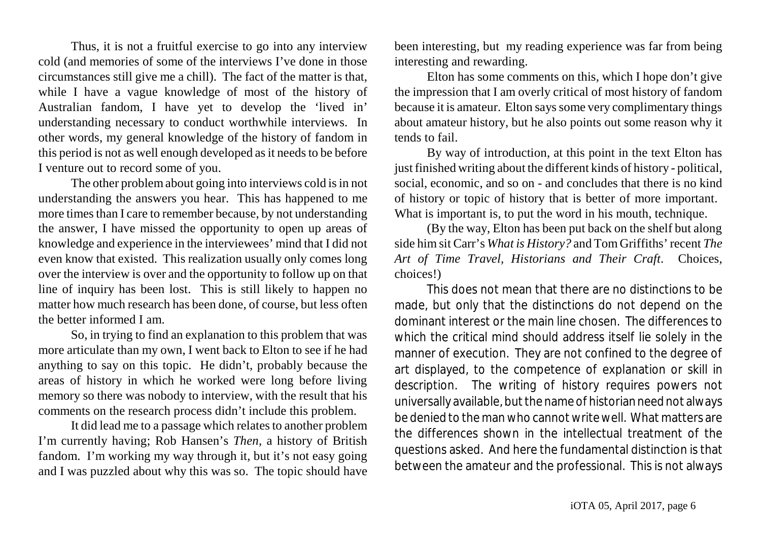Thus, it is not a fruitful exercise to go into any interview cold (and memories of some of the interviews I've done in those circumstances still give me a chill). The fact of the matter is that, while I have a vague knowledge of most of the history of Australian fandom, I have yet to develop the 'lived in' understanding necessary to conduct worthwhile interviews. In other words, my general knowledge of the history of fandom in this period is not as well enough developed as it needs to be before I venture out to record some of you.

The other problem about going into interviews cold is in not understanding the answers you hear. This has happened to me more times than I care to remember because, by not understanding the answer, I have missed the opportunity to open up areas of knowledge and experience in the interviewees' mind that I did not even know that existed. This realization usually only comes long over the interview is over and the opportunity to follow up on that line of inquiry has been lost. This is still likely to happen no matter how much research has been done, of course, but less often the better informed I am.

So, in trying to find an explanation to this problem that was more articulate than my own, I went back to Elton to see if he had anything to say on this topic. He didn't, probably because the areas of history in which he worked were long before living memory so there was nobody to interview, with the result that his comments on the research process didn't include this problem.

It did lead me to a passage which relates to another problem I'm currently having; Rob Hansen's *Then*, a history of British fandom. I'm working my way through it, but it's not easy going and I was puzzled about why this was so. The topic should have

been interesting, but my reading experience was far from being interesting and rewarding.

Elton has some comments on this, which I hope don't give the impression that I am overly critical of most history of fandom because it is amateur. Elton says some very complimentary things about amateur history, but he also points out some reason why it tends to fail.

By way of introduction, at this point in the text Elton has just finished writing about the different kinds of history - political, social, economic, and so on - and concludes that there is no kind of history or topic of history that is better of more important. What is important is, to put the word in his mouth, technique.

(By the way, Elton has been put back on the shelf but along side him sit Carr's *What is History?* and TomGriffiths' recent *The Art of Time Travel, Historians and Their Craft*. Choices, choices!)

This does not mean that there are no distinctions to be made, but only that the distinctions do not depend on the dominant interest or the main line chosen. The differences to which the critical mind should address itself lie solely in the manner of execution. They are not confined to the degree of art displayed, to the competence of explanation or skill in description. The writing of history requires powers not universally available, butthe name of historian need not always be denied to the man who cannot write well. What matters are the differences shown in the intellectual treatment of the questions asked. And here the fundamental distinction is that between the amateur and the professional. This is not always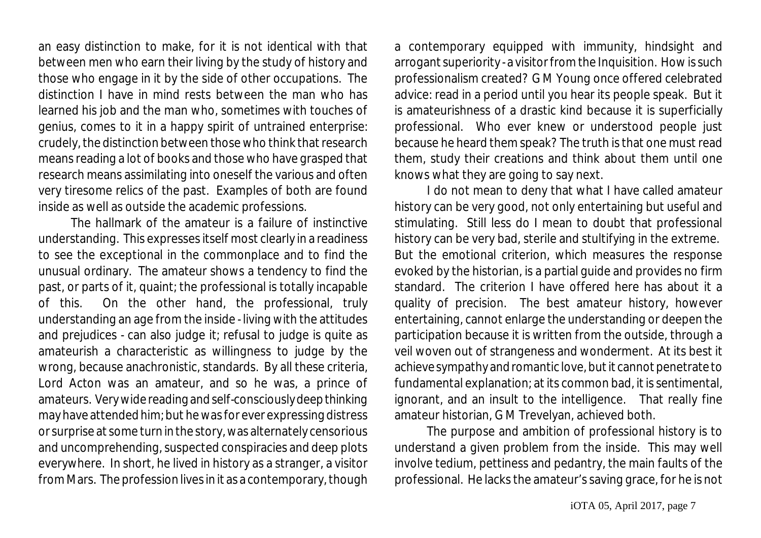an easy distinction to make, for it is not identical with that between men who earn their living by the study of history and those who engage in it by the side of other occupations. The distinction I have in mind rests between the man who has learned his job and the man who, sometimes with touches of genius, comes to it in a happy spirit of untrained enterprise: crudely, the distinction between those who think that research means reading a lot of books and those who have grasped that research means assimilating into oneself the various and often very tiresome relics of the past. Examples of both are found inside as well as outside the academic professions.

The hallmark of the amateur is a failure of instinctive understanding. This expresses itself most clearly in a readiness to see the exceptional in the commonplace and to find the unusual ordinary. The amateur shows a tendency to find the past, or parts of it, quaint; the professional is totally incapable of this. On the other hand, the professional, truly understanding an age from the inside - living with the attitudes and prejudices - can also judge it; refusal to judge is quite as amateurish a characteristic as willingness to judge by the wrong, because anachronistic, standards. By all these criteria, Lord Acton was an amateur, and so he was, a prince of amateurs. Very wide reading and self-consciouslydeep thinking may have attended him; but he was for ever expressing distress or surprise at some turn in the story, was alternately censorious and uncomprehending, suspected conspiracies and deep plots everywhere. In short, he lived in history as a stranger, a visitor from Mars. The profession lives in it as a contemporary, though

a contemporary equipped with immunity, hindsight and arrogant superiority - a visitor from the Inquisition. How is such professionalism created? G M Young once offered celebrated advice: read in a period until you hear its people speak. But it is amateurishness of a drastic kind because it is superficially professional. Who ever knew or understood people just because he heard them speak? The truth is that one must read them, study their creations and think about them until one knows what they are going to say next.

I do not mean to deny that what I have called amateur history can be very good, not only entertaining but useful and stimulating. Still less do I mean to doubt that professional history can be very bad, sterile and stultifying in the extreme. But the emotional criterion, which measures the response evoked by the historian, is a partial guide and provides no firm standard. The criterion I have offered here has about it a quality of precision. The best amateur history, however entertaining, cannot enlarge the understanding or deepen the participation because it is written from the outside, through a veil woven out of strangeness and wonderment. At its best it achieve sympathy and romantic love, butit cannot penetrate to fundamental explanation; at its common bad, it is sentimental, ignorant, and an insult to the intelligence. That really fine amateur historian, G M Trevelyan, achieved both.

The purpose and ambition of professional history is to understand a given problem from the inside. This may well involve tedium, pettiness and pedantry, the main faults of the professional. He lacks the amateur's saving grace, for he is not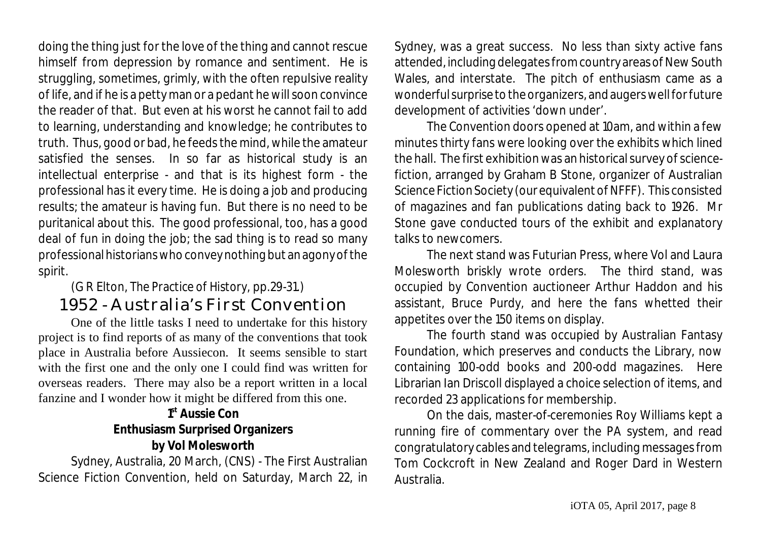doing the thing just for the love of the thing and cannot rescue himself from depression by romance and sentiment. He is struggling, sometimes, grimly, with the often repulsive reality of life, and if he is a petty man or a pedant he will soon convince the reader of that. But even at his worst he cannot fail to add to learning, understanding and knowledge; he contributes to truth. Thus, good or bad, he feeds the mind, while the amateur satisfied the senses. In so far as historical study is an intellectual enterprise - and that is its highest form - the professional has it every time. He is doing a job and producing results; the amateur is having fun. But there is no need to be puritanical about this. The good professional, too, has a good deal of fun in doing the job; the sad thing is to read so many professional historians who convey nothing but an agony of the spirit.

#### (G R Elton, *The Practice of History*, pp.29-31.) 1952 - Australia's First Convention

One of the little tasks I need to undertake for this history project is to find reports of as many of the conventions that took place in Australia before Aussiecon. It seems sensible to start with the first one and the only one I could find was written for overseas readers. There may also be a report written in a local fanzine and I wonder how it might be differed from this one.

#### 1<sup>st</sup> Aussie Con **Enthusiasm Surprised Organizers by Vol Molesworth**

Sydney, Australia, 20 March, (CNS) - The First Australian Science Fiction Convention, held on Saturday, March 22, in Sydney, was a great success. No less than sixty active fans attended, including delegates from country areas of New South Wales, and interstate. The pitch of enthusiasm came as a wonderful surprise to the organizers, and augers well for future development of activities 'down under'.

The Convention doors opened at 10am, and within a few minutes thirty fans were looking over the exhibits which lined the hall. The first exhibition was an historical survey of sciencefiction, arranged by Graham B Stone, organizer of Australian Science Fiction Society (our equivalent of NFFF). This consisted of magazines and fan publications dating back to 1926. Mr Stone gave conducted tours of the exhibit and explanatory talks to newcomers.

The next stand was Futurian Press, where Vol and Laura Molesworth briskly wrote orders. The third stand, was occupied by Convention auctioneer Arthur Haddon and his assistant, Bruce Purdy, and here the fans whetted their appetites over the 150 items on display.

The fourth stand was occupied by Australian Fantasy Foundation, which preserves and conducts the Library, now containing 100-odd books and 200-odd magazines. Here Librarian Ian Driscoll displayed a choice selection of items, and recorded 23 applications for membership.

On the dais, master-of-ceremonies Roy Williams kept a running fire of commentary over the PA system, and read congratulatory cables and telegrams, including messages from Tom Cockcroft in New Zealand and Roger Dard in Western Australia.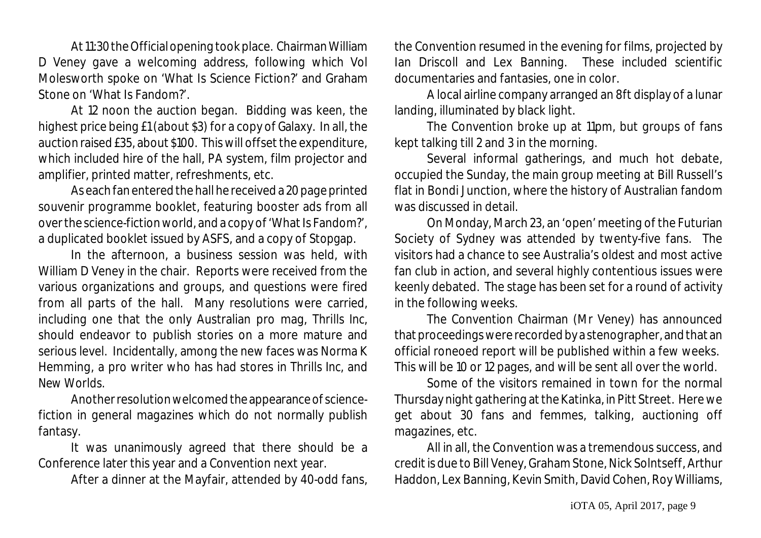At11:30the Official opening took place. Chairman William D Veney gave a welcoming address, following which Vol Molesworth spoke on 'What Is Science Fiction?' and Graham Stone on 'What Is Fandom?'.

At 12 noon the auction began. Bidding was keen, the highest price being £1 (about \$3) for a copy of *Galaxy*. In all, the auction raised £35, about \$100. This will offset the expenditure, which included hire of the hall, PA system, film projector and amplifier, printed matter, refreshments, etc.

As each fan entered the hall he received a 20 page printed souvenir programme booklet, featuring booster ads from all over the science-fiction world, and a copy of 'What Is Fandom?', a duplicated booklet issued by ASFS, and a copy of *Stopgap*.

In the afternoon, a business session was held, with William D Veney in the chair. Reports were received from the various organizations and groups, and questions were fired from all parts of the hall. Many resolutions were carried, including one that the only Australian pro mag, *Thrills Inc*, should endeavor to publish stories on a more mature and serious level. Incidentally, among the new faces was Norma K Hemming, a pro writer who has had stores in *Thrills Inc*, and *New Worlds*.

Another resolution welcomed the appearanceof sciencefiction in general magazines which do not normally publish fantasy.

It was unanimously agreed that there should be a Conference later this year and a Convention next year.

After a dinner at the Mayfair, attended by 40-odd fans,

the Convention resumed in the evening for films, projected by Ian Driscoll and Lex Banning. These included scientific documentaries and fantasies, one in color.

A local airline company arranged an 8ft display of a lunar landing, illuminated by black light.

The Convention broke up at 11pm, but groups of fans kept talking till 2 and 3 in the morning.

Several informal gatherings, and much hot debate, occupied the Sunday, the main group meeting at Bill Russell's flat in Bondi Junction, where the history of Australian fandom was discussed in detail.

On Monday, March 23, an 'open' meeting of the Futurian Society of Sydney was attended by twenty-five fans. The visitors had a chance to see Australia's oldest and most active fan club in action, and several highly contentious issues were keenly debated. The stage has been set for a round of activity in the following weeks.

The Convention Chairman (Mr Veney) has announced that proceedings were recorded by a stenographer, and that an official roneoed report will be published within a few weeks. This will be 10 or 12 pages, and will be sent all over the world.

Some of the visitors remained in town for the normal Thursday night gathering at the Katinka, in Pitt Street. Here we get about 30 fans and femmes, talking, auctioning off magazines, etc.

All in all, the Convention was a tremendous success, and credit is due to Bill Veney, Graham Stone, Nick Solntseff, Arthur Haddon, Lex Banning, Kevin Smith, David Cohen, Roy Williams,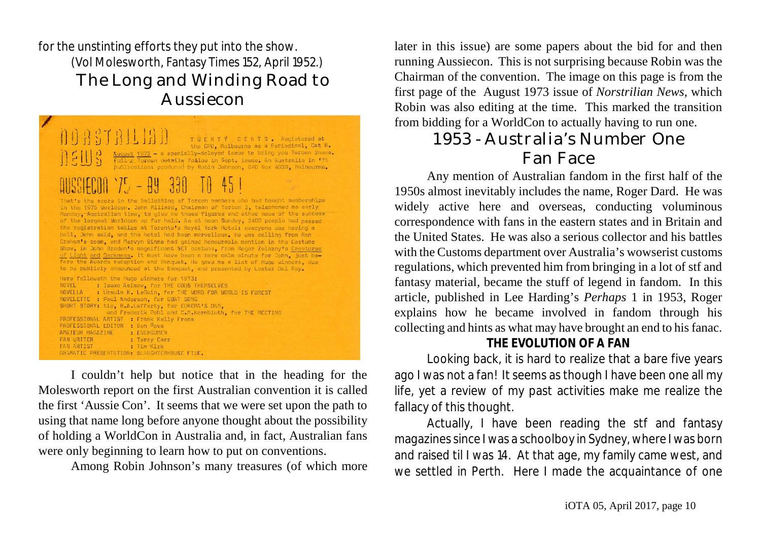for the unstinting efforts they put into the show. (Vol Molesworth, *Fantasy Times* 152, April 1952.) The Long and Winding Road to Aussiecon

**TUENTY CENTS. Registered at** the GPO, Melbourne as a Periodical, Cat B. 973 - a specially-delayed issue to bring you Torcon 2news. Full r Torown details follow in Sept. issue. An Australia in '75 ublications produced by Robin Johnson. GPD Box 4039. Melbourne. That's the score in the ballotting of Torcon members who had bought memberships in the 1975 Worldcon. John Millard, Chairman of Torcon 2, telephoned me early Monday, Australian time, to give me these figures and other news of the success of the largest Worldcon so far held. As at noon Sunday, 2400 people had passed the registration tables at Toronto's Royal York Hotel; everyone was having a ball, John said, and the hotel had been marvellous. He was calling from Ron Graham's room, and Mervyn Binns had gained honourable mention in the Costume Show, in John Breden's magnificent SET costume, from Roger Zelazny's Creatures of Light and Darkness. It must have been a rare calm minute for John, just before the Awards reception and Banquet. He gave me a list of Hugo winners, due to be publicly announced at the Banquet, and presented by Lester Del Rey. Here followeth the Hugo winners for 1973: NOVEL : Isaac Asimov, for THE GODS THEMSELVES NOVELLA : Ursula K. LeGuin, for THE WORD FOR WORLD IS FOREST NOVELETTE : Poul Anderson, for GOAT SONG SHORT STORY: tie, R.A.Lafferty, for EUREMA'S DAM, and Frederik Pohl and C.M.Kornbluth, for THE MEETING

PROFESSIONAL ARTIST : Frank Kelly Freas PROFESSIONAL EDITOR : Ben Bova AMATEUR MAGAZINE : ENERGUMEN FAN URITER : Terry Carr FAN ARTIST : Tim Kirk DRAMATIC PRESENTATION: SLAUGHTERHOUSE FIVE.

I couldn't help but notice that in the heading for the Molesworth report on the first Australian convention it is called the first 'Aussie Con'. It seems that we were set upon the path to using that name long before anyone thought about the possibility of holding a WorldCon in Australia and, in fact, Australian fans were only beginning to learn how to put on conventions.

Among Robin Johnson's many treasures (of which more

later in this issue) are some papers about the bid for and then running Aussiecon. This is not surprising because Robin was the Chairman of the convention. The image on this page is from the first page of the August 1973 issue of *Norstrilian News,* which Robin was also editing at the time. This marked the transition from bidding for a WorldCon to actually having to run one.

### 1953 - Australia's Number One Fan Face

Any mention of Australian fandom in the first half of the 1950s almost inevitably includes the name, Roger Dard. He was widely active here and overseas, conducting voluminous correspondence with fans in the eastern states and in Britain and the United States. He was also a serious collector and his battles with the Customs department over Australia's wowserist customs regulations, which prevented him from bringing in a lot of stf and fantasy material, became the stuff of legend in fandom. In this article, published in Lee Harding's *Perhaps* 1 in 1953, Roger explains how he became involved in fandom through his collecting and hints as what may have brought an end to his fanac.

#### **THE EVOLUTION OF A FAN**

Looking back, it is hard to realize that a bare five years ago I was not a fan! It seems as though I have been one all my life, yet a review of my past activities make me realize the fallacy of this thought.

Actually, I have been reading the stf and fantasy magazines since I was a schoolboy in Sydney, where I was born and raised til I was 14. At that age, my family came west, and we settled in Perth. Here I made the acquaintance of one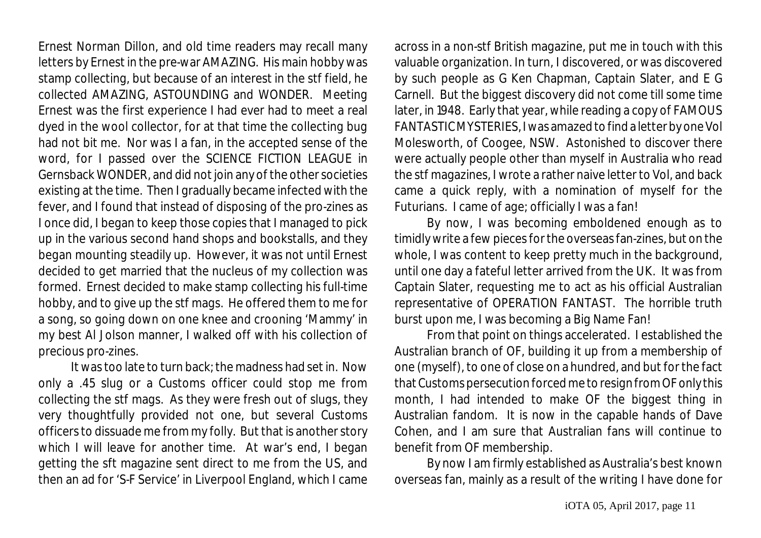Ernest Norman Dillon, and old time readers may recall many letters by Ernest in the pre-war AMAZING. His main hobby was stamp collecting, but because of an interest in the stf field, he collected AMAZING, ASTOUNDING and WONDER. Meeting Ernest was the first experience I had ever had to meet a real dyed in the wool collector, for at that time the collecting bug had not bit me. Nor was I a fan, in the accepted sense of the word, for I passed over the SCIENCE FICTION LEAGUE in Gernsback WONDER, and did not join any of the other societies existing at the time. Then I gradually became infected with the fever, and I found that instead of disposing of the pro-zines as I once did, I began to keep those copies that I managed to pick up in the various second hand shops and bookstalls, and they began mounting steadily up. However, it was not until Ernest decided to get married that the nucleus of my collection was formed. Ernest decided to make stamp collecting his full-time hobby, and to give up the stf mags. He offered them to me for a song, so going down on one knee and crooning 'Mammy' in my best Al Jolson manner, I walked off with his collection of precious pro-zines.

It was too late to turn back; the madness had set in. Now only a .45 slug or a Customs officer could stop me from collecting the stf mags. As they were fresh out of slugs, they very thoughtfully provided not one, but several Customs officers to dissuade me from my folly. But that is another story which I will leave for another time. At war's end, I began getting the sft magazine sent direct to me from the US, and then an ad for 'S-F Service' in Liverpool England, which I came

across in a non-stf British magazine, put me in touch with this valuable organization. In turn, I discovered, or was discovered by such people as G Ken Chapman, Captain Slater, and E G Carnell. But the biggest discovery did not come till some time later, in 1948. Early that year, while reading a copy of FAMOUS FANTASTIC MYSTERIES, I was amazed to find a letter by one Vol Molesworth, of Coogee, NSW. Astonished to discover there were actually people other than myself in Australia who read the stf magazines, I wrote a rather naive letter to Vol, and back came a quick reply, with a nomination of myself for the Futurians. I came of age; officially I was a fan!

By now, I was becoming emboldened enough as to timidly write a few pieces for the overseas fan-zines, but on the whole, I was content to keep pretty much in the background, until one day a fateful letter arrived from the UK. It was from Captain Slater, requesting me to act as his official Australian representative of OPERATION FANTAST. The horrible truth burst upon me, I was becoming a Big Name Fan!

From that point on things accelerated. I established the Australian branch of OF, building it up from a membership of one (myself), to one of close on a hundred, and but for the fact that Customs persecution forced me to resign from OF only this month, I had intended to make OF the biggest thing in Australian fandom. It is now in the capable hands of Dave Cohen, and I am sure that Australian fans will continue to benefit from OF membership.

By now I am firmly established as Australia's best known overseas fan, mainly as a result of the writing I have done for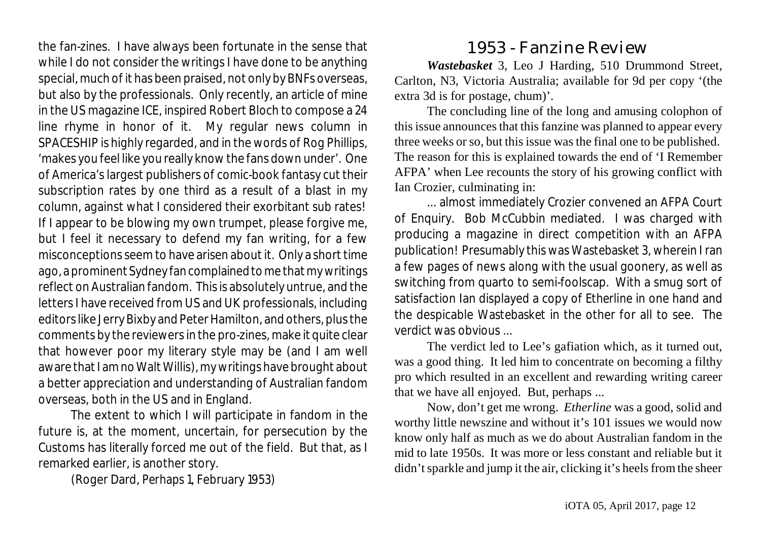the fan-zines. I have always been fortunate in the sense that while I do not consider the writings I have done to be anything special, much of it has been praised, not only by BNFs overseas, but also by the professionals. Only recently, an article of mine in the US magazine ICE, inspired Robert Bloch to compose a 24 line rhyme in honor of it. My regular news column in SPACESHIP is highly regarded, and in the words of Rog Phillips, 'makes you feel like you really know the fans down under'. One of America's largest publishers of comic-book fantasy cut their subscription rates by one third as a result of a blast in my column, against what I considered their exorbitant sub rates! If I appear to be blowing my own trumpet, please forgive me, but I feel it necessary to defend my fan writing, for a few misconceptions seem to have arisen about it. Only a short time ago, a prominent Sydney fan complained to me that my writings reflect on Australian fandom. This is absolutely untrue, and the letters I have received from US and UK professionals, including editors like Jerry Bixby and Peter Hamilton, and others, plus the comments by the reviewers in the pro-zines, make it quite clear that however poor my literary style may be (and I am well aware that I am no Walt Willis), my writings have brought about a better appreciation and understanding of Australian fandom overseas, both in the US and in England.

The extent to which I will participate in fandom in the future is, at the moment, uncertain, for persecution by the Customs has literally forced me out of the field. But that, as I remarked earlier, is another story.

(Roger Dard, *Perhaps 1*, February 1953)

#### 1953 - Fanzine Review

*Wastebasket* 3, Leo J Harding, 510 Drummond Street, Carlton, N3, Victoria Australia; available for 9d per copy '(the extra 3d is for postage, chum)'.

The concluding line of the long and amusing colophon of this issue announces that this fanzine was planned to appear every three weeks or so, but this issue was the final one to be published. The reason for this is explained towards the end of 'I Remember AFPA' when Lee recounts the story of his growing conflict with Ian Crozier, culminating in:

... almost immediately Crozier convened an AFPA Court of Enquiry. Bob McCubbin mediated. I was charged with producing a magazine in direct competition with an AFPA publication! Presumably this was *Wastebasket* 3, wherein I ran a few pages of news along with the usual goonery, as well as switching from quarto to semi-foolscap. With a smug sort of satisfaction Ian displayed a copy of *Etherline* in one hand and the despicable *Wastebasket* in the other for all to see. The verdict was obvious ...

The verdict led to Lee's gafiation which, as it turned out, was a good thing. It led him to concentrate on becoming a filthy pro which resulted in an excellent and rewarding writing career that we have all enjoyed. But, perhaps ...

Now, don't get me wrong. *Etherline* was a good, solid and worthy little newszine and without it's 101 issues we would now know only half as much as we do about Australian fandom in the mid to late 1950s. It was more or less constant and reliable but it didn't sparkle and jump it the air, clicking it's heels from the sheer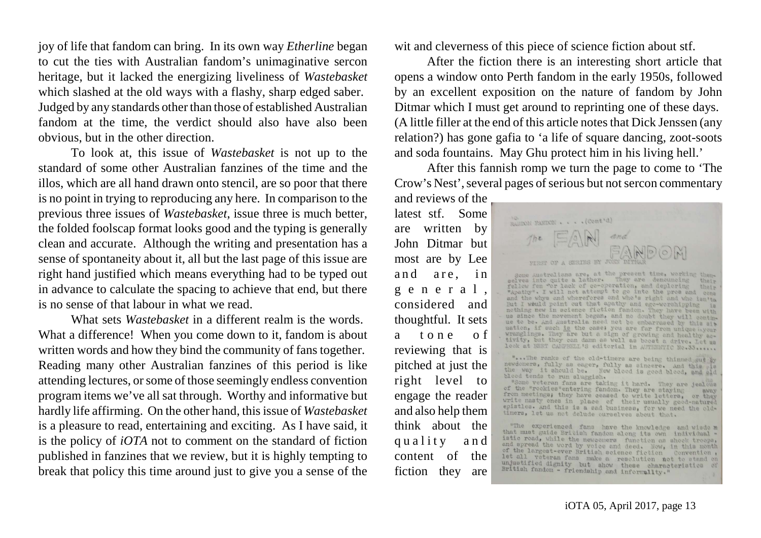joy of life that fandom can bring. In its own way *Etherline* began to cut the ties with Australian fandom's unimaginative sercon heritage, but it lacked the energizing liveliness of *Wastebasket* which slashed at the old ways with a flashy, sharp edged saber. Judged by any standards other than those of established Australian fandom at the time, the verdict should also have also been obvious, but in the other direction.

To look at, this issue of *Wastebasket* is not up to the standard of some other Australian fanzines of the time and the illos, which are all hand drawn onto stencil, are so poor that there is no point in trying to reproducing any here. In comparison to the previous three issues of *Wastebasket*, issue three is much better, the folded foolscap format looks good and the typing is generally clean and accurate. Although the writing and presentation has a sense of spontaneity about it, all but the last page of this issue are right hand justified which means everything had to be typed out in advance to calculate the spacing to achieve that end, but there is no sense of that labour in what we read.

What sets *Wastebasket* in a different realm is the words. What a difference! When you come down to it, fandom is about written words and how they bind the community of fans together. Reading many other Australian fanzines of this period is like attending lectures, orsome of those seemingly endless convention program items we've all sat through. Worthy and informative but hardly life affirming. On the other hand, this issue of *Wastebasket* is a pleasure to read, entertaining and exciting. As I have said, it is the policy of *iOTA* not to comment on the standard of fiction published in fanzines that we review, but it is highly tempting to break that policy this time around just to give you a sense of the

wit and cleverness of this piece of science fiction about stf.

After the fiction there is an interesting short article that opens a window onto Perth fandom in the early 1950s, followed by an excellent exposition on the nature of fandom by John Ditmar which I must get around to reprinting one of these days. (A little filler at the end of this article notes that Dick Jenssen (any relation?) has gone gafia to 'a life of square dancing, zoot-soots and soda fountains. May Ghu protect him in his living hell.'

After this fannish romp we turn the page to come to 'The Crow's Nest', several pages of serious but not sercon commentary

and reviews of the latest stf. Some are written by John Ditmar but most are by Lee and are, in g e n e r a l , considered and thoughtful. It sets a tone of reviewing that is pitched at just the right level to engage the reader and also help them think about the quality and content of the fiction they are



Some Australians are, at the present time, working<br>gelves into quite a lather. They are denouncing<br>fellow fen "or lack of co-operation, and deploring their theim "Apathy". I will not attempt to go into the pros and cons and the whys and wherefores and who's right and who isn'ts and the ways and whereverse and who is right and who isn'ts<br>hat I wendd point out that apathy and ego-worshipping is<br>nothing new in science fiction fandom. They have been with us since the movement began, and no doubt they will continue to be. And Australia need not be embarrased by this sit uation, if such is the case; you are far from unique myour uranglings. They are but a sign of growing and healthy are<br>tivity, but they can damn as well as boost a drive. Let us lock at HERT CAMPRELL'S editorial in AUTHEMTIC No.33......

"... The ranks of the old-timers are being thinned out by "... The ranks of the cld-timers are being thinned out by<br>newdomers, fully as eager, fully as sincere. And this pis<br>the way it should be. New blood is good blood, and sid blood tends to run sluggish.

"Some veteran fans are taking it hard. They are jealous of the "rookies"entering fandom. They are staying away from meetings; they have ceased to write letters, or they write nasty ones in place of their usually good-natured epistles. And this is a sad business, for we need the oldtimers, let us not delude ourselves about that.

"The experienced fans have the knowledge and wisdom that must guide British fandom along its own individual istic road, while the newcomers function as shock troops, and spread the word by voice and deed. Now, in this month of the largest-ever British science fiction Convention, let all veteran fans make a resolution not to stand on unjustified dignity but show these characteristics of<br>British fandom - friendship with these characteristics of British fandom - friendship and informality."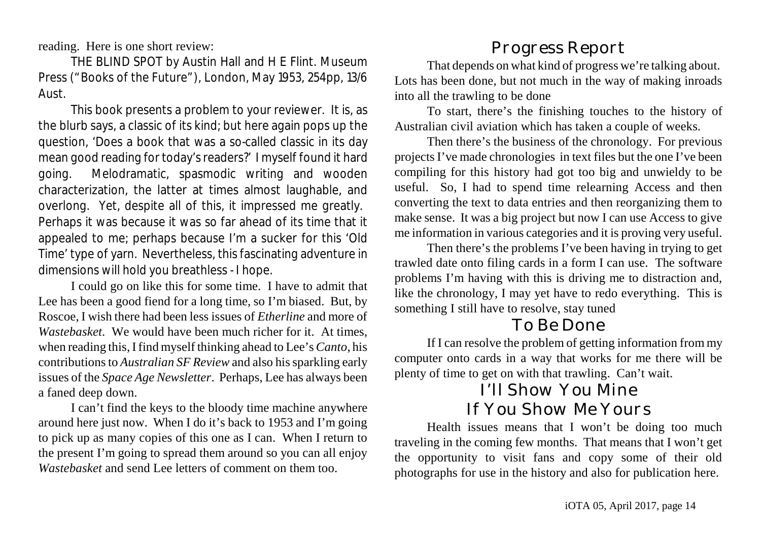reading. Here is one short review:

THE BLIND SPOT by Austin Hall and H E Flint. Museum Press ("Books of the Future"), London, May 1953, 254pp, 13/6 Aust.

This book presents a problem to your reviewer. It is, as the blurb says, a classic of its kind; but here again pops up the question, 'Does a book that was a so-called classic in its day mean good reading for today's readers?' I myself found it hard going. Melodramatic, spasmodic writing and wooden characterization, the latter at times almost laughable, and overlong. Yet, despite all of this, it impressed me greatly. Perhaps it was because it was so far ahead of its time that it appealed to me; perhaps because I'm a sucker for this 'Old Time' type of yarn. Nevertheless, this fascinating adventure in dimensions will hold you breathless - I hope.

I could go on like this for some time. I have to admit that Lee has been a good fiend for a long time, so I'm biased. But, by Roscoe, I wish there had been less issues of *Etherline* and more of *Wastebasket*. We would have been much richer for it. At times, when reading this, I find myself thinking ahead to Lee's *Canto*, his contributionsto *Australian SF Review* and also his sparkling early issues of the *Space Age Newsletter*. Perhaps, Lee has always been a faned deep down.

I can't find the keys to the bloody time machine anywhere around here just now. When I do it's back to 1953 and I'm going to pick up as many copies of this one as I can. When I return to the present I'm going to spread them around so you can all enjoy *Wastebasket* and send Lee letters of comment on them too.

# Progress Report

That depends on what kind of progress we're talking about. Lots has been done, but not much in the way of making inroads into all the trawling to be done

To start, there's the finishing touches to the history of Australian civil aviation which has taken a couple of weeks.

Then there's the business of the chronology. For previous projectsI've made chronologies in text files but the one I've been compiling for this history had got too big and unwieldy to be useful. So, I had to spend time relearning Access and then converting the text to data entries and then reorganizing them to make sense. It was a big project but now I can use Access to give me information in various categories and it is proving very useful.

Then there's the problems I've been having in trying to get trawled date onto filing cards in a form I can use. The software problems I'm having with this is driving me to distraction and, like the chronology, I may yet have to redo everything. This is something I still have to resolve, stay tuned

## To Be Done

If I can resolve the problem of getting information from my computer onto cards in a way that works for me there will be plenty of time to get on with that trawling. Can't wait.

# I'll Show You Mine If You Show Me Yours

Health issues means that I won't be doing too much traveling in the coming few months. That means that I won't get the opportunity to visit fans and copy some of their old photographs for use in the history and also for publication here.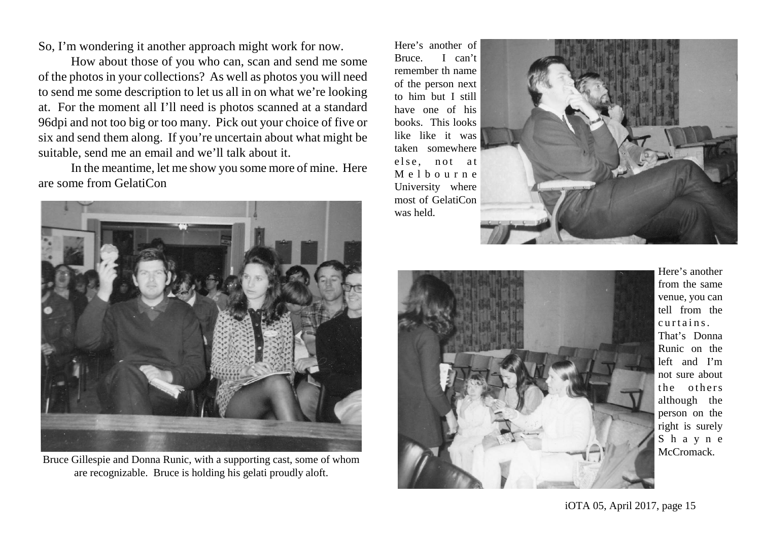So, I'm wondering it another approach might work for now.

How about those of you who can, scan and send me some of the photos in your collections? As well as photos you will need to send me some description to let us all in on what we're looking at. For the moment all I'll need is photos scanned at a standard 96dpi and not too big or too many. Pick out your choice of five or six and send them along. If you're uncertain about what might be suitable, send me an email and we'll talk about it.

In the meantime, let me show you some more of mine. Here are some from GelatiCon



Bruce Gillespie and Donna Runic, with a supporting cast, some of whom are recognizable. Bruce is holding his gelati proudly aloft.

Here's another of Bruce. I can't remember th name of the person next to him but I still have one of his books. This looks like like it was taken somewhere else, not at Melhourne University where most of GelatiCon was held.





Here's another from the same venue, you can tell from the curtains That's Donna Runic on the left and I'm not sure about the others although the person on the right is surely S h a y n e McCromack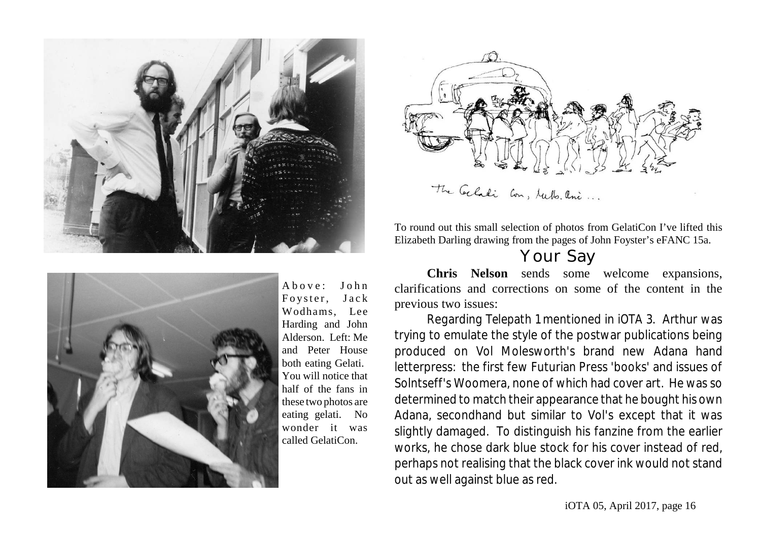



A b o v e : J o h n Foyster, Jack Wodhams, Lee Harding and John Alderson. Left: Me and Peter House both eating Gelati. You will notice that half of the fans in these two photos are eating gelati. No wonder it was called GelatiCon.



To round out this small selection of photos from GelatiCon I've lifted this Elizabeth Darling drawing from the pages of John Foyster's eFANC 15a.

### Your Say

**Chris Nelson** sends some welcome expansions, clarifications and corrections on some of the content in the previous two issues:

Regarding *Telepath* 1 mentioned in *iOTA* 3. Arthur was trying to emulate the style of the postwar publications being produced on Vol Molesworth's brand new Adana hand letterpress: the first few Futurian Press 'books' and issues of Solntseff's Woomera, none of which had cover art. He was so determined to match their appearance that he bought his own Adana, secondhand but similar to Vol's except that it was slightly damaged. To distinguish his fanzine from the earlier works, he chose dark blue stock for his cover instead of red, perhaps not realising that the black cover ink would not stand out as well against blue as red.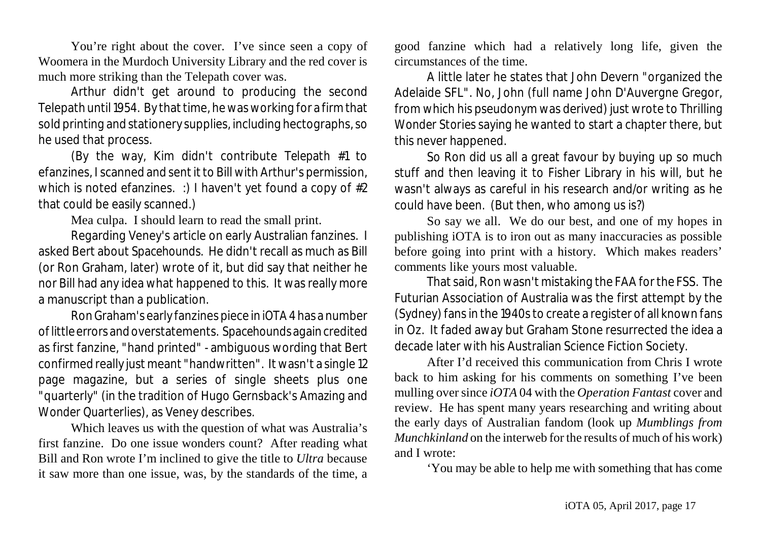You're right about the cover. I've since seen a copy of Woomera in the Murdoch University Library and the red cover is much more striking than the Telepath cover was.

Arthur didn't get around to producing the second Telepath until 1954. By that time, he was working for a firm that sold printing and stationery supplies, including hectographs, so he used that process.

(By the way, Kim didn't contribute *Telepath* #1 to efanzines, I scanned and sent it to Bill with Arthur's permission, which is noted efanzines. :) I haven't yet found a copy of #2 that could be easily scanned.)

Mea culpa. I should learn to read the small print.

Regarding Veney's article on early Australian fanzines. I asked Bert about *Spacehounds*. He didn't recall as much as Bill (or Ron Graham, later) wrote of it, but did say that neither he nor Bill had any idea what happened to this. It was really more a manuscript than a publication.

Ron Graham's early fanzines piece in *iOTA*4 has a number of littleerrors and overstatements. *Spacehounds* againcredited as first fanzine, "hand printed" - ambiguous wording that Bert confirmed really just meant "handwritten". It wasn't a single 12 page magazine, but a series of single sheets plus one "quarterly" (in the tradition of Hugo Gernsback's *Amazing* and *Wonder Quarterlies*), as Veney describes.

Which leaves us with the question of what was Australia's first fanzine. Do one issue wonders count? After reading what Bill and Ron wrote I'm inclined to give the title to *Ultra* because it saw more than one issue, was, by the standards of the time, a

good fanzine which had a relatively long life, given the circumstances of the time.

A little later he states that John Devern "organized the Adelaide SFL". No, John (full name John D'Auvergne Gregor, from which his pseudonym was derived) just wrote to *Thrilling Wonder Stories* saying he wanted to start a chapter there, but this never happened.

So Ron did us all a great favour by buying up so much stuff and then leaving it to Fisher Library in his will, but he wasn't always as careful in his research and/or writing as he could have been. (But then, who among us is?)

So say we all. We do our best, and one of my hopes in publishing iOTA is to iron out as many inaccuracies as possible before going into print with a history. Which makes readers' comments like yours most valuable.

That said, Ron wasn't mistaking the FAA for the FSS. The Futurian Association of Australia was the first attempt by the (Sydney) fans in the 1940s to create a register of all known fans in Oz. It faded away but Graham Stone resurrected the idea a decade later with his Australian Science Fiction Society.

After I'd received this communication from Chris I wrote back to him asking for his comments on something I've been mulling over since *iOTA* 04 with the *Operation Fantast* cover and review. He has spent many years researching and writing about the early days of Australian fandom (look up *Mumblings from Munchkinland* on the interweb for the results of much of his work) and I wrote:

'You may be able to help me with something that has come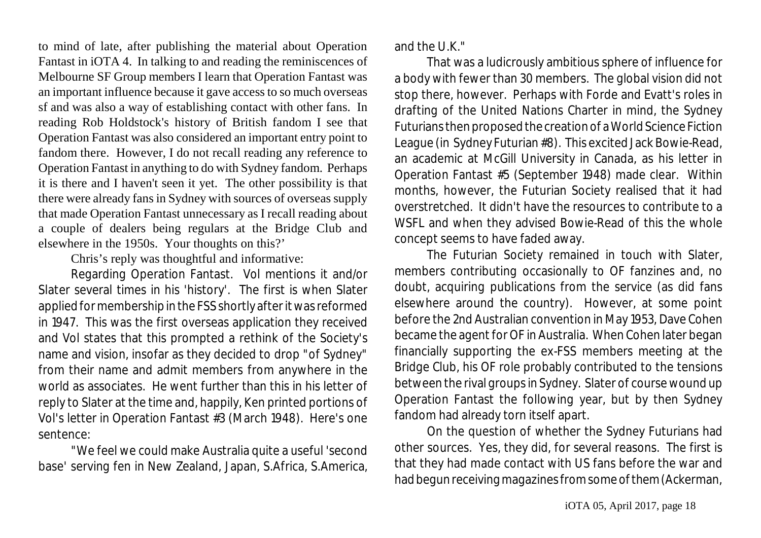to mind of late, after publishing the material about Operation Fantast in iOTA 4. In talking to and reading the reminiscences of Melbourne SF Group members I learn that Operation Fantast was an important influence because it gave accessto so much overseas sf and was also a way of establishing contact with other fans. In reading Rob Holdstock's history of British fandom I see that Operation Fantast was also considered an important entry point to fandom there. However, I do not recall reading any reference to Operation Fantast in anything to do with Sydney fandom. Perhaps it is there and I haven't seen it yet. The other possibility is that there were already fans in Sydney with sources of overseas supply that made Operation Fantast unnecessary as I recall reading about a couple of dealers being regulars at the Bridge Club and elsewhere in the 1950s. Your thoughts on this?'

Chris's reply was thoughtful and informative:

Regarding Operation Fantast. Vol mentions it and/or Slater several times in his 'history'. The first is when Slater applied for membership in the FSS shortly after it was reformed in 1947. This was the first overseas application they received and Vol states that this prompted a rethink of the Society's name and vision, insofar as they decided to drop "of Sydney" from their name and admit members from anywhere in the world as associates. He went further than this in his letter of reply to Slater at the time and, happily, Ken printed portions of Vol's letter in Operation Fantast #3 (March 1948). Here's one sentence:

"We feel we could make Australia quite a useful 'second base' serving fen in New Zealand, Japan, S.Africa, S.America, and the U.K."

That was a ludicrously ambitious sphere of influence for a body with fewer than 30 members. The global vision did not stop there, however. Perhaps with Forde and Evatt's roles in drafting of the United Nations Charter in mind, the Sydney Futurians then proposed the creation of a World Science Fiction League (in Sydney Futurian #8). This excited Jack Bowie-Read, an academic at McGill University in Canada, as his letter in Operation Fantast #5 (September 1948) made clear. Within months, however, the Futurian Society realised that it had overstretched. It didn't have the resources to contribute to a WSFL and when they advised Bowie-Read of this the whole concept seems to have faded away.

The Futurian Society remained in touch with Slater, members contributing occasionally to OF fanzines and, no doubt, acquiring publications from the service (as did fans elsewhere around the country). However, at some point before the 2nd Australian convention in May 1953, Dave Cohen became the agent for OF in Australia. When Cohen later began financially supporting the ex-FSS members meeting at the Bridge Club, his OF role probably contributed to the tensions between the rival groups in Sydney. Slater of course wound up Operation Fantast the following year, but by then Sydney fandom had already torn itself apart.

On the question of whether the Sydney Futurians had other sources. Yes, they did, for several reasons. The first is that they had made contact with US fans before the war and had begun receiving magazines from some of them (Ackerman,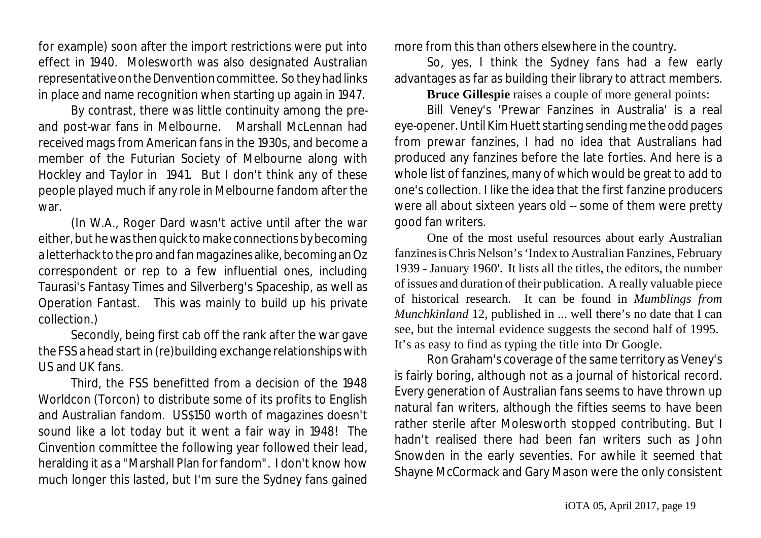for example) soon after the import restrictions were put into effect in 1940. Molesworth was also designated Australian representative on the Denvention committee. So they had links in place and name recognition when starting up again in 1947.

By contrast, there was little continuity among the preand post-war fans in Melbourne. Marshall McLennan had received mags from American fans in the 1930s, and become a member of the Futurian Society of Melbourne along with Hockley and Taylor in 1941. But I don't think any of these people played much if any role in Melbourne fandom after the war.

(In W.A., Roger Dard wasn't active until after the war either, but he was then quick to make connections by becoming a letterhack to the pro and fan magazines alike, becoming an Oz correspondent or rep to a few influential ones, including Taurasi's Fantasy Times and Silverberg's Spaceship, as well as Operation Fantast. This was mainly to build up his private collection.)

Secondly, being first cab off the rank after the war gave the FSS a head start in (re)building exchange relationships with US and UK fans.

Third, the FSS benefitted from a decision of the 1948 Worldcon (Torcon) to distribute some of its profits to English and Australian fandom. US\$150 worth of magazines doesn't sound like a lot today but it went a fair way in 1948! The Cinvention committee the following year followed their lead, heralding it as a "Marshall Plan for fandom". I don't know how much longer this lasted, but I'm sure the Sydney fans gained

more from this than others elsewhere in the country.

So, yes, I think the Sydney fans had a few early advantages as far as building their library to attract members.

**Bruce Gillespie** raises a couple of more general points:

Bill Veney's 'Prewar Fanzines in Australia' is a real eye-opener. Until Kim Huett starting sending me the odd pages from prewar fanzines, I had no idea that Australians had produced any fanzines before the late forties. And here is a whole list of fanzines, many of which would be great to add to one's collection. I like the idea that the first fanzine producers were all about sixteen years old -- some of them were pretty good fan writers.

One of the most useful resources about early Australian fanzines is Chris Nelson's 'Index to Australian Fanzines, February 1939 - January 1960'. It lists all the titles, the editors, the number of issues and duration of their publication. A really valuable piece of historical research. It can be found in *Mumblings from Munchkinland* 12, published in ... well there's no date that I can see, but the internal evidence suggests the second half of 1995. It's as easy to find as typing the title into Dr Google.

Ron Graham's coverage of the same territory as Veney's is fairly boring, although not as a journal of historical record. Every generation of Australian fans seems to have thrown up natural fan writers, although the fifties seems to have been rather sterile after Molesworth stopped contributing. But I hadn't realised there had been fan writers such as John Snowden in the early seventies. For awhile it seemed that Shayne McCormack and Gary Mason were the only consistent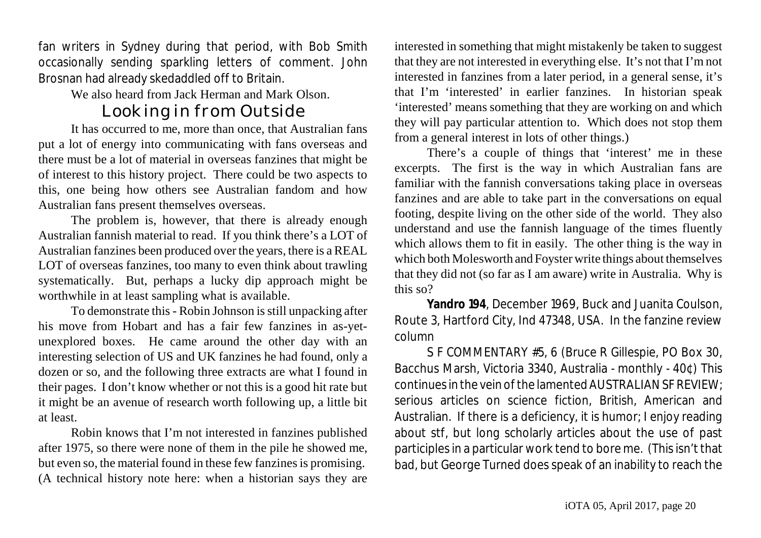fan writers in Sydney during that period, with Bob Smith occasionally sending sparkling letters of comment. John Brosnan had already skedaddled off to Britain.

We also heard from Jack Herman and Mark Olson.

# Looking in from Outside

It has occurred to me, more than once, that Australian fans put a lot of energy into communicating with fans overseas and there must be a lot of material in overseas fanzines that might be of interest to this history project. There could be two aspects to this, one being how others see Australian fandom and how Australian fans present themselves overseas.

The problem is, however, that there is already enough Australian fannish material to read. If you think there's a LOT of Australian fanzines been produced over the years, there is a REAL LOT of overseas fanzines, too many to even think about trawling systematically. But, perhaps a lucky dip approach might be worthwhile in at least sampling what is available.

To demonstrate this- Robin Johnson isstill unpacking after his move from Hobart and has a fair few fanzines in as-yetunexplored boxes. He came around the other day with an interesting selection of US and UK fanzines he had found, only a dozen or so, and the following three extracts are what I found in their pages. I don't know whether or not this is a good hit rate but it might be an avenue of research worth following up, a little bit at least.

Robin knows that I'm not interested in fanzines published after 1975, so there were none of them in the pile he showed me, but even so, the material found in these few fanzines is promising. (A technical history note here: when a historian says they are

interested in something that might mistakenly be taken to suggest that they are not interested in everything else. It's not that I'm not interested in fanzines from a later period, in a general sense, it's that I'm 'interested' in earlier fanzines. In historian speak 'interested' means something that they are working on and which they will pay particular attention to. Which does not stop them from a general interest in lots of other things.)

There's a couple of things that 'interest' me in these excerpts. The first is the way in which Australian fans are familiar with the fannish conversations taking place in overseas fanzines and are able to take part in the conversations on equal footing, despite living on the other side of the world. They also understand and use the fannish language of the times fluently which allows them to fit in easily. The other thing is the way in which both Molesworth and Foyster write things about themselves that they did not (so far as I am aware) write in Australia. Why is this so?

*Yandro 194*, December 1969, Buck and Juanita Coulson, Route 3, Hartford City, Ind 47348, USA. In the fanzine review column

S F COMMENTARY #5, 6 (Bruce R Gillespie, PO Box 30, Bacchus Marsh, Victoria 3340, Australia - monthly - 40¢) This continues in the vein of the lamented AUSTRALIAN SF REVIEW; serious articles on science fiction, British, American and Australian. If there is a deficiency, it is humor; I enjoy reading about stf, but long scholarly articles about the use of past participles in a particular work tend to bore me. (This isn't that bad, but George Turned does speak of an inability to reach the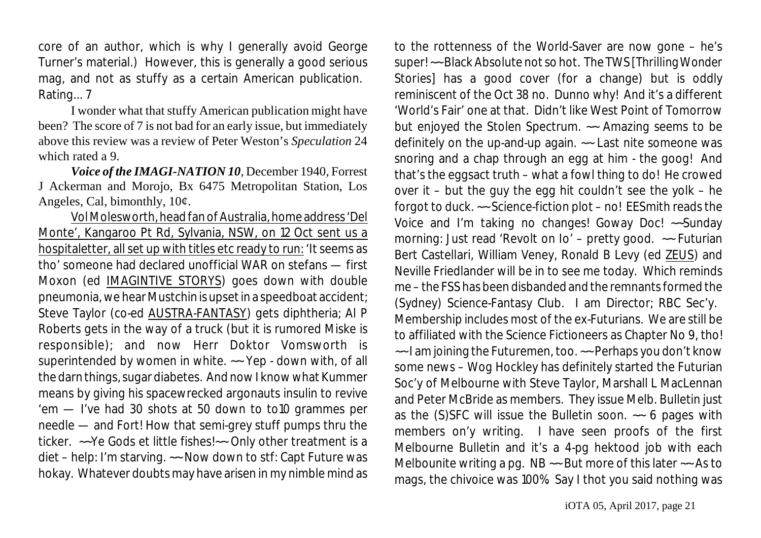core of an author, which is why I generally avoid George Turner's material.) However, this is generally a good serious mag, and not as stuffy as a certain American publication. Rating... 7

I wonder what that stuffy American publication might have been? The score of 7 is not bad for an early issue, but immediately above this review was a review of Peter Weston's *Speculation* 24 which rated a 9.

*Voice of the IMAGI-NATION 10*, December 1940, Forrest J Ackerman and Morojo, Bx 6475 Metropolitan Station, Los Angeles, Cal, bimonthly, 10¢.

Vol Molesworth, head fan of Australia,home address 'Del Monte', Kangaroo Pt Rd, Sylvania, NSW, on 12 Oct sent us a hospitaletter, all set up with titles etc ready to run: 'It seems as tho' someone had declared unofficial WAR on stefans — first Moxon (ed IMAGINTIVE STORYS) goes down with double pneumonia, we hear Mustchin is upset in a speedboat accident; Steve Taylor (co-ed AUSTRA-FANTASY) gets diphtheria; Al P Roberts gets in the way of a truck (but it is rumored Miske is responsible); and now Herr Doktor Vomsworth is superintended by women in white. ~~ Yep - down with, of all the darn things, sugar diabetes. And now I know what Kummer means by giving his spacewrecked argonauts insulin to revive 'em — I've had 30 shots at 50 down to to10 grammes per needle — and Fort! How that semi-grey stuff pumps thru the ticker. ~~Ye Gods et little fishes!~~ Only other treatment is a diet – help: I'm starving. ~~ Now down to stf: Capt Future was hokay. Whatever doubts may have arisen in my nimble mind as

to the rottenness of the World-Saver are now gone – he's super! ~~ Black Absolute not so hot. The TWS [*Thrilling Wonder Stories*] has a good cover (for a change) but is oddly reminiscent of the Oct 38 no. Dunno why! And it's a different 'World's Fair' one at that. Didn't like West Point of Tomorrow but enjoyed the Stolen Spectrum. ~~ Amazing seems to be definitely on the up-and-up again. ~~ Last nite someone was snoring and a chap through an egg at him - the goog! And that's the eggsact truth – what a fowl thing to do! He crowed over it – but the guy the egg hit couldn't see the yolk – he forgot to duck. ~~ Science-fiction plot – no! EESmith reads the Voice and I'm taking no changes! Goway Doc! ~~Sunday morning: Just read 'Revolt on Io' – pretty good. ~~ Futurian Bert Castellari, William Veney, Ronald B Levy (ed ZEUS) and Neville Friedlander will be in to see me today. Which reminds me – the FSS has been disbanded and the remnants formed the (Sydney) Science-Fantasy Club. I am Director; RBC Sec'y. Membership includes most of the ex-Futurians. We are still be to affiliated with the Science Fictioneers as Chapter No 9, tho! ~~ I am joining the Futuremen, too. ~~ Perhaps you don't know some news – Wog Hockley has definitely started the Futurian Soc'y of Melbourne with Steve Taylor, Marshall L MacLennan and Peter McBride as members. They issue Melb. Bulletin just as the (S)SFC will issue the Bulletin soon. ~~ 6 pages with members on'y writing. I have seen proofs of the first Melbourne Bulletin and it's a 4-pg hektood job with each Melbounite writing a pg. NB ~~ But more of this later ~~ As to mags, the chivoice was 100%. Say I thot you said nothing was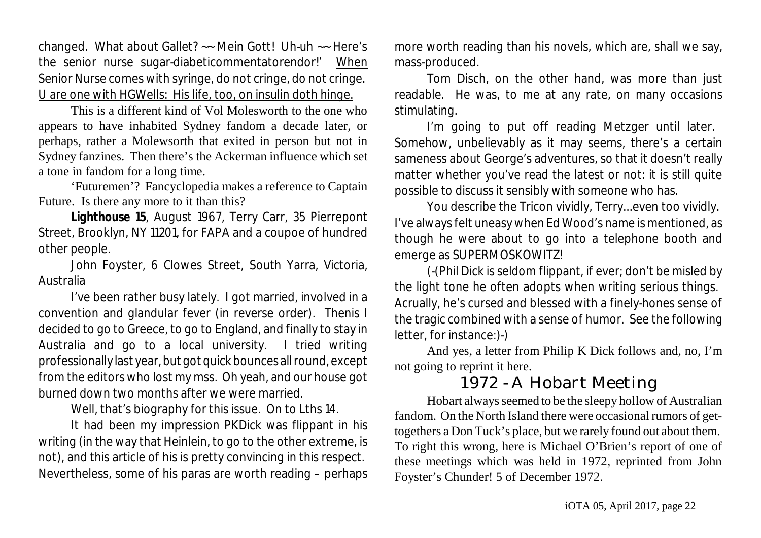changed. What about Gallet? ~~ Mein Gott! Uh-uh ~~ Here's the senior nurse sugar-diabeticommentatorendor!' When Senior Nurse comes with syringe, do not cringe, do not cringe. U are one with HGWells: His life, too, on insulin doth hinge.

This is a different kind of Vol Molesworth to the one who appears to have inhabited Sydney fandom a decade later, or perhaps, rather a Molewsorth that exited in person but not in Sydney fanzines. Then there's the Ackerman influence which set a tone in fandom for a long time.

'Futuremen'? Fancyclopedia makes a reference to Captain Future. Is there any more to it than this?

*Lighthouse 15*, August 1967, Terry Carr, 35 Pierrepont Street, Brooklyn, NY 11201, for FAPA and a coupoe of hundred other people.

John Foyster, 6 Clowes Street, South Yarra, Victoria, Australia

I've been rather busy lately. I got married, involved in a convention and glandular fever (in reverse order). Thenis I decided to go to Greece, to go to England, and finally to stay in Australia and go to a local university. I tried writing professionally last year, but got quick bounces all round, except from the editors who lost my mss. Oh yeah, and our house got burned down two months after we were married.

Well, that's biography for this issue. On to Lths 14.

It had been my impression PKDick was flippant in his writing (in the way that Heinlein, to go to the other extreme, is not), and this article of his is pretty convincing in this respect. Nevertheless, some of his paras are worth reading – perhaps more worth reading than his novels, which are, shall we say, mass-produced.

Tom Disch, on the other hand, was more than just readable. He was, to me at any rate, on many occasions stimulating.

I'm going to put off reading Metzger until later. Somehow, unbelievably as it may seems, there's a certain sameness about George's adventures, so that it doesn't really matter whether you've read the latest or not: it is still quite possible to discuss it sensibly with someone who has.

You describe the Tricon vividly, Terry...even too vividly. I've always felt uneasy when Ed Wood's name is mentioned, as though he were about to go into a telephone booth and emerge as SUPERMOSKOWITZ!

(-(Phil Dick is seldom flippant, if ever; don't be misled by the light tone he often adopts when writing serious things. Acrually, he's cursed and blessed with a finely-hones sense of the tragic combined with a sense of humor. See the following letter, for instance:)-)

And yes, a letter from Philip K Dick follows and, no, I'm not going to reprint it here.

# 1972 - A Hobart Meeting

Hobart always seemed to be the sleepy hollow of Australian fandom. On the North Island there were occasional rumors of gettogethers a Don Tuck's place, but we rarely found out about them. To right this wrong, here is Michael O'Brien's report of one of these meetings which was held in 1972, reprinted from John Foyster's Chunder! 5 of December 1972.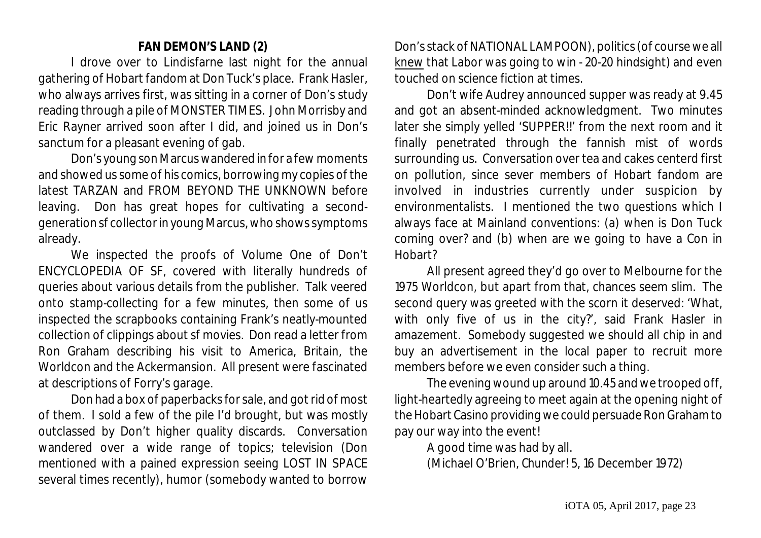#### **FAN DEMON'S LAND (2)**

I drove over to Lindisfarne last night for the annual gathering of Hobart fandom at Don Tuck's place. Frank Hasler, who always arrives first, was sitting in a corner of Don's study reading through a pile of MONSTER TIMES. John Morrisby and Eric Rayner arrived soon after I did, and joined us in Don's sanctum for a pleasant evening of gab.

Don's young son Marcus wandered in for a few moments and showed us some of his comics, borrowing my copies of the latest TARZAN and FROM BEYOND THE UNKNOWN before leaving. Don has great hopes for cultivating a secondgeneration sf collector in young Marcus, who shows symptoms already.

We inspected the proofs of Volume One of Don't ENCYCLOPEDIA OF SF, covered with literally hundreds of queries about various details from the publisher. Talk veered onto stamp-collecting for a few minutes, then some of us inspected the scrapbooks containing Frank's neatly-mounted collection of clippings about sf movies. Don read a letter from Ron Graham describing his visit to America, Britain, the Worldcon and the Ackermansion. All present were fascinated at descriptions of Forry's garage.

Don had a box of paperbacks for sale, and got rid of most of them. I sold a few of the pile I'd brought, but was mostly outclassed by Don't higher quality discards. Conversation wandered over a wide range of topics; television (Don mentioned with a pained expression seeing LOST IN SPACE several times recently), humor (somebody wanted to borrow

Don's stack of NATIONAL LAMPOON), politics (of coursewe all knew that Labor was going to win - 20-20 hindsight) and even touched on science fiction at times.

Don't wife Audrey announced supper was ready at 9.45 and got an absent-minded acknowledgment. Two minutes later she simply yelled 'SUPPER!!' from the next room and it finally penetrated through the fannish mist of words surrounding us. Conversation over tea and cakes centerd first on pollution, since sever members of Hobart fandom are involved in industries currently under suspicion by environmentalists. I mentioned the two questions which I always face at Mainland conventions: (a) when is Don Tuck coming over? and (b) when are we going to have a Con in Hobart?

All present agreed they'd go over to Melbourne for the 1975 Worldcon, but apart from that, chances seem slim. The second query was greeted with the scorn it deserved: 'What, with only five of us in the city?', said Frank Hasler in amazement. Somebody suggested we should all chip in and buy an advertisement in the local paper to recruit more members before we even consider such a thing.

The evening wound up around 10.45 and we trooped off, light-heartedly agreeing to meet again at the opening night of the Hobart Casino providing we could persuade Ron Graham to pay our way into the event!

A good time was had by all.

(Michael O'Brien, *Chunder!* 5, 16 December 1972)